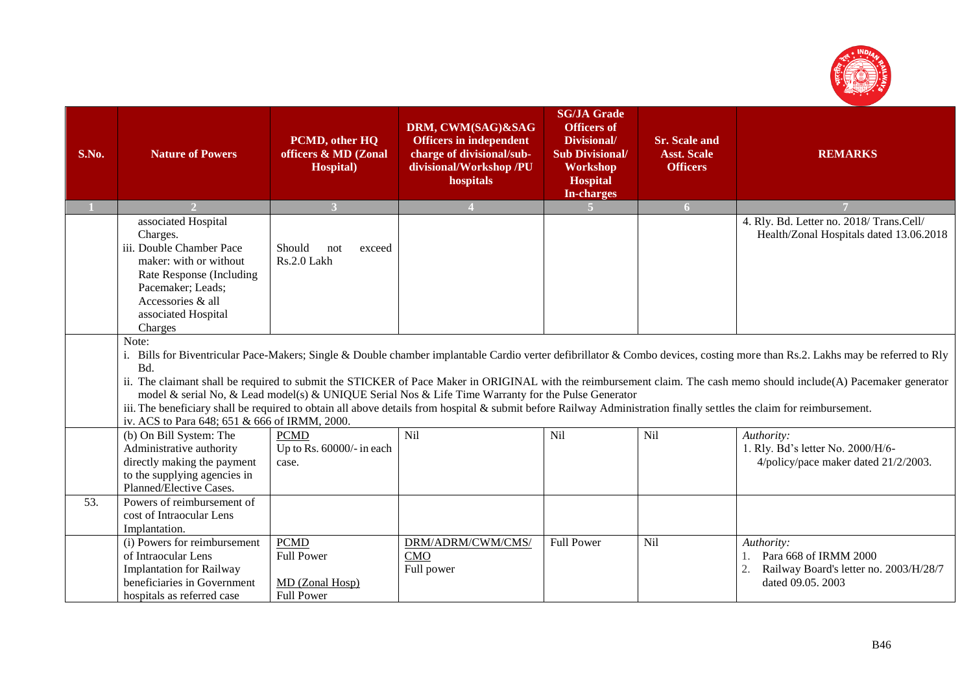

| S.No. | <b>Nature of Powers</b>                                                                                                                                                                                                                                                                                                                                                                                                                                                                                                                                                                                                                                                                               | PCMD, other HQ<br>officers & MD (Zonal<br><b>Hospital</b> )              | DRM, CWM(SAG)&SAG<br><b>Officers in independent</b><br>charge of divisional/sub-<br>divisional/Workshop /PU<br>hospitals | <b>SG/JA Grade</b><br><b>Officers of</b><br>Divisional/<br><b>Sub Divisional/</b><br>Workshop<br><b>Hospital</b><br><b>In-charges</b> | <b>Sr. Scale and</b><br><b>Asst. Scale</b><br><b>Officers</b> | <b>REMARKS</b>                                                                                                 |  |
|-------|-------------------------------------------------------------------------------------------------------------------------------------------------------------------------------------------------------------------------------------------------------------------------------------------------------------------------------------------------------------------------------------------------------------------------------------------------------------------------------------------------------------------------------------------------------------------------------------------------------------------------------------------------------------------------------------------------------|--------------------------------------------------------------------------|--------------------------------------------------------------------------------------------------------------------------|---------------------------------------------------------------------------------------------------------------------------------------|---------------------------------------------------------------|----------------------------------------------------------------------------------------------------------------|--|
|       |                                                                                                                                                                                                                                                                                                                                                                                                                                                                                                                                                                                                                                                                                                       | $\mathbf{3}$                                                             |                                                                                                                          |                                                                                                                                       | 6 <sup>1</sup>                                                |                                                                                                                |  |
|       | associated Hospital<br>Charges.<br>iii. Double Chamber Pace<br>maker: with or without<br>Rate Response (Including<br>Pacemaker; Leads;<br>Accessories & all<br>associated Hospital<br>Charges                                                                                                                                                                                                                                                                                                                                                                                                                                                                                                         | Should<br>not<br>exceed<br>Rs.2.0 Lakh                                   |                                                                                                                          |                                                                                                                                       |                                                               | 4. Rly. Bd. Letter no. 2018/Trans.Cell/<br>Health/Zonal Hospitals dated 13.06.2018                             |  |
|       | Note:<br>i. Bills for Biventricular Pace-Makers; Single & Double chamber implantable Cardio verter defibrillator & Combo devices, costing more than Rs.2. Lakhs may be referred to Rly<br>Bd.<br>ii. The claimant shall be required to submit the STICKER of Pace Maker in ORIGINAL with the reimbursement claim. The cash memo should include(A) Pacemaker generator<br>model & serial No, & Lead model(s) & UNIQUE Serial Nos & Life Time Warranty for the Pulse Generator<br>iii. The beneficiary shall be required to obtain all above details from hospital & submit before Railway Administration finally settles the claim for reimbursement.<br>iv. ACS to Para 648; 651 & 666 of IRMM, 2000. |                                                                          |                                                                                                                          |                                                                                                                                       |                                                               |                                                                                                                |  |
|       | (b) On Bill System: The<br>Administrative authority<br>directly making the payment<br>to the supplying agencies in<br>Planned/Elective Cases.                                                                                                                                                                                                                                                                                                                                                                                                                                                                                                                                                         | <b>PCMD</b><br>Up to Rs. 60000/- in each<br>case.                        | Nil                                                                                                                      | Nil                                                                                                                                   | Nil                                                           | Authority:<br>1. Rly. Bd's letter No. 2000/H/6-<br>4/policy/pace maker dated 21/2/2003.                        |  |
| 53.   | Powers of reimbursement of<br>cost of Intraocular Lens<br>Implantation.                                                                                                                                                                                                                                                                                                                                                                                                                                                                                                                                                                                                                               |                                                                          |                                                                                                                          |                                                                                                                                       |                                                               |                                                                                                                |  |
|       | (i) Powers for reimbursement<br>of Intraocular Lens<br><b>Implantation for Railway</b><br>beneficiaries in Government<br>hospitals as referred case                                                                                                                                                                                                                                                                                                                                                                                                                                                                                                                                                   | <b>PCMD</b><br><b>Full Power</b><br>MD (Zonal Hosp)<br><b>Full Power</b> | DRM/ADRM/CWM/CMS/<br>CMO<br>Full power                                                                                   | <b>Full Power</b>                                                                                                                     | <b>Nil</b>                                                    | Authority:<br>Para 668 of IRMM 2000<br>1.<br>2.<br>Railway Board's letter no. 2003/H/28/7<br>dated 09.05. 2003 |  |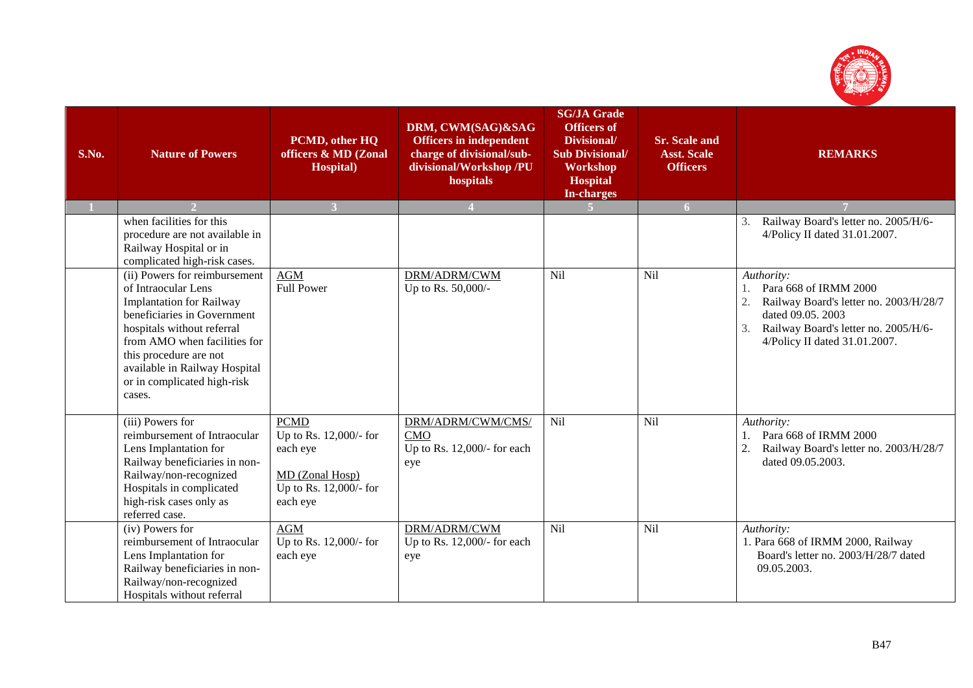

| S.No. | <b>Nature of Powers</b>                                                                                                                                                                                                                                                                  | PCMD, other HQ<br>officers & MD (Zonal<br><b>Hospital</b> )                                                | DRM, CWM(SAG)&SAG<br><b>Officers in independent</b><br>charge of divisional/sub-<br>divisional/Workshop /PU<br>hospitals | <b>SG/JA Grade</b><br><b>Officers of</b><br>Divisional/<br><b>Sub Divisional/</b><br>Workshop<br><b>Hospital</b><br><b>In-charges</b> | <b>Sr. Scale and</b><br><b>Asst. Scale</b><br><b>Officers</b> | <b>REMARKS</b>                                                                                                                                                                    |
|-------|------------------------------------------------------------------------------------------------------------------------------------------------------------------------------------------------------------------------------------------------------------------------------------------|------------------------------------------------------------------------------------------------------------|--------------------------------------------------------------------------------------------------------------------------|---------------------------------------------------------------------------------------------------------------------------------------|---------------------------------------------------------------|-----------------------------------------------------------------------------------------------------------------------------------------------------------------------------------|
|       |                                                                                                                                                                                                                                                                                          | $\overline{\mathbf{3}}$                                                                                    |                                                                                                                          |                                                                                                                                       | 6 <sup>1</sup>                                                |                                                                                                                                                                                   |
|       | when facilities for this<br>procedure are not available in<br>Railway Hospital or in<br>complicated high-risk cases.                                                                                                                                                                     |                                                                                                            |                                                                                                                          |                                                                                                                                       |                                                               | Railway Board's letter no. 2005/H/6-<br>3.<br>4/Policy II dated 31.01.2007.                                                                                                       |
|       | (ii) Powers for reimbursement<br>of Intraocular Lens<br><b>Implantation for Railway</b><br>beneficiaries in Government<br>hospitals without referral<br>from AMO when facilities for<br>this procedure are not<br>available in Railway Hospital<br>or in complicated high-risk<br>cases. | <b>AGM</b><br><b>Full Power</b>                                                                            | DRM/ADRM/CWM<br>Up to Rs. 50,000/-                                                                                       | Nil                                                                                                                                   | Nil                                                           | Authority:<br>Para 668 of IRMM 2000<br>Railway Board's letter no. 2003/H/28/7<br>dated 09.05, 2003<br>Railway Board's letter no. 2005/H/6-<br>3.<br>4/Policy II dated 31.01.2007. |
|       | (iii) Powers for<br>reimbursement of Intraocular<br>Lens Implantation for<br>Railway beneficiaries in non-<br>Railway/non-recognized<br>Hospitals in complicated<br>high-risk cases only as<br>referred case.                                                                            | <b>PCMD</b><br>Up to Rs. 12,000/- for<br>each eye<br>MD (Zonal Hosp)<br>Up to Rs. 12,000/- for<br>each eye | DRM/ADRM/CWM/CMS/<br><b>CMO</b><br>Up to Rs. 12,000/- for each<br>eye                                                    | Nil                                                                                                                                   | Nil                                                           | Authority:<br>Para 668 of IRMM 2000<br>1.<br>Railway Board's letter no. 2003/H/28/7<br>dated 09.05.2003.                                                                          |
|       | (iv) Powers for<br>reimbursement of Intraocular<br>Lens Implantation for<br>Railway beneficiaries in non-<br>Railway/non-recognized<br>Hospitals without referral                                                                                                                        | <b>AGM</b><br>Up to Rs. 12,000/- for<br>each eye                                                           | DRM/ADRM/CWM<br>Up to Rs. 12,000/- for each<br>eye                                                                       | Nil                                                                                                                                   | Nil                                                           | Authority:<br>1. Para 668 of IRMM 2000, Railway<br>Board's letter no. 2003/H/28/7 dated<br>09.05.2003.                                                                            |